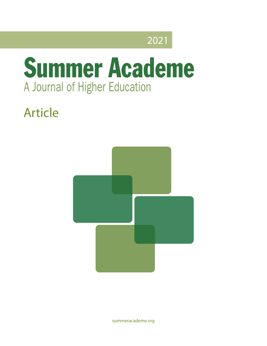## 2021

# **Summer Academe** A Journal of Higher Education

## Article



[summeracademe.org](http://summeracademe.org)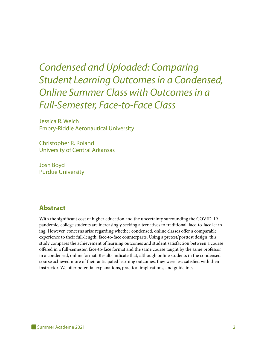## *Condensed and Uploaded: Comparing Student Learning Outcomes in a Condensed, Online Summer Class with Outcomes in a Full-Semester, Face-to-Face Class*

Jessica R. Welch Embry-Riddle Aeronautical University

Christopher R. Roland University of Central Arkansas

Josh Boyd Purdue University

#### **Abstract**

With the significant cost of higher education and the uncertainty surrounding the COVID-19 pandemic, college students are increasingly seeking alternatives to traditional, face-to-face learning. However, concerns arise regarding whether condensed, online classes offer a comparable experience to their full-length, face-to-face counterparts. Using a pretest/posttest design, this study compares the achievement of learning outcomes and student satisfaction between a course offered in a full-semester, face-to-face format and the same course taught by the same professor in a condensed, online format. Results indicate that, although online students in the condensed course achieved more of their anticipated learning outcomes, they were less satisfied with their instructor. We offer potential explanations, practical implications, and guidelines.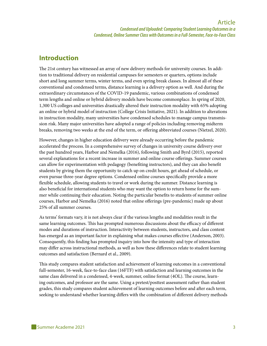#### **Introduction**

The 21st century has witnessed an array of new delivery methods for university courses. In addition to traditional delivery on residential campuses for semesters or quarters, options include short and long summer terms, winter terms, and even spring break classes. In almost all of these conventional and condensed terms, distance learning is a delivery option as well. And during the extraordinary circumstances of the COVID-19 pandemic, various combinations of condensed term lengths and online or hybrid delivery models have become commonplace. In spring of 2020, 1,300 US colleges and universities drastically altered their instruction modality with 65% adopting an online or hybrid model of instruction (College Crisis Initiative, 2021). In addition to alterations in instruction modality, many universities have condensed schedules to manage campus transmission risk. Many major universities have adopted a range of policies including removing midterm breaks, removing two weeks at the end of the term, or offering abbreviated courses (Nietzel, 2020).

However, changes in higher education delivery were already occurring before the pandemic accelerated the process. In a comprehensive survey of changes in university course delivery over the past hundred years, Harbor and Nemelka (2016), following Smith and Byrd (2015), reported several explanations for a recent increase in summer and online course offerings. Summer courses can allow for experimentation with pedagogy (benefiting instructors), and they can also benefit students by giving them the opportunity to catch up on credit hours, get ahead of schedule, or even pursue three-year degree options. Condensed online courses specifically provide a more flexible schedule, allowing students to travel or work during the summer. Distance learning is also beneficial for international students who may want the option to return home for the summer while continuing their education. Noting the particular benefits to students of summer online courses, Harbor and Nemelka (2016) noted that online offerings (pre-pandemic) made up about 25% of all summer courses.

As terms' formats vary, it is not always clear if the various lengths and modalities result in the same learning outcomes. This has prompted numerous discussions about the efficacy of different modes and durations of instruction. Interactivity between students, instructors, and class content has emerged as an important factor in explaining what makes courses effective (Anderson, 2003). Consequently, this finding has prompted inquiry into how the intensity and type of interaction may differ across instructional methods, as well as how these differences relate to student learning outcomes and satisfaction (Bernard et al., 2009).

This study compares student satisfaction and achievement of learning outcomes in a conventional full-semester, 16-week, face-to-face class (16FTF) with satisfaction and learning outcomes in the same class delivered in a condensed, 4-week, summer, online format (4OL). The course, learning outcomes, and professor are the same. Using a pretest/posttest assessment rather than student grades, this study compares student achievement of learning outcomes before and after each term, seeking to understand whether learning differs with the combination of different delivery methods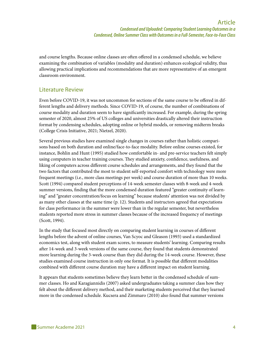and course lengths. Because online classes are often offered in a condensed schedule, we believe examining the combination of variables (modality and duration) enhances ecological validity, thus allowing practical implications and recommendations that are more representative of an emergent classroom environment.

#### Literature Review

Even before COVID-19, it was not uncommon for sections of the same course to be offered in different lengths and delivery methods. Since COVID-19, of course, the number of combinations of course modality and duration seem to have significantly increased. For example, during the spring semester of 2020, almost 25% of US colleges and universities drastically altered their instruction format by condensing schedules, adopting online or hybrid models, or removing midterm breaks (College Crisis Initiative, 2021; Nietzel, 2020).

Several previous studies have examined single changes in courses rather than holistic comparisons based on both duration and online/face-to-face modality. Before online courses existed, for instance, Bohlin and Hunt (1995) studied how comfortable in- and pre-service teachers felt simply using computers in teacher training courses. They studied anxiety, confidence, usefulness, and liking of computers across different course schedules and arrangements, and they found that the two factors that contributed the most to student self-reported comfort with technology were more frequent meetings (i.e., more class meetings per week) and course duration of more than 10 weeks. Scott (1994) compared student perceptions of 14-week semester classes with 8-week and 4-week summer versions, finding that the more condensed duration featured "greater continuity of learning" and "greater concentration/focus on learning" because students' attention was not divided by as many other classes at the same time (p. 12). Students and instructors agreed that expectations for class performance in the summer were lower than in the regular semester, but nevertheless students reported more stress in summer classes because of the increased frequency of meetings (Scott, 1994).

In the study that focused most directly on comparing student learning in courses of different lengths before the advent of online courses, Van Scyoc and Gleason (1993) used a standardized economics test, along with student exam scores, to measure students' learning. Comparing results after 14-week and 3-week versions of the same course, they found that students demonstrated more learning during the 3-week course than they did during the 14-week course. However, these studies examined course instruction in only one format. It is possible that different modalities combined with different course duration may have a different impact on student learning.

It appears that students sometimes believe they learn better in the condensed schedule of summer classes. Ho and Karagiannidis (2007) asked undergraduates taking a summer class how they felt about the different delivery method, and their marketing students perceived that they learned more in the condensed schedule. Kucsera and Zimmaro (2010) also found that summer versions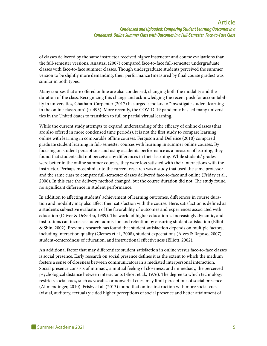of classes delivered by the same instructor received higher instructor and course evaluations than the full-semester versions. Anastasi (2007) compared face-to-face full-semester undergraduate classes with face-to-face summer classes. Though undergraduate students perceived the summer version to be slightly more demanding, their performance (measured by final course grades) was similar in both types.

Many courses that are offered online are also condensed, changing both the modality and the duration of the class. Recognizing this change and acknowledging the recent push for accountability in universities, Chatham-Carpenter (2017) has urged scholars to "investigate student learning in the online classroom" (p. 493). More recently, the COVID-19 pandemic has led many universities in the United States to transition to full or partial virtual learning.

While the current study attempts to expand understanding of the efficacy of online classes (that are also offered in more condensed time periods), it is not the first study to compare learning online with learning in comparable offline courses. Ferguson and DeFelice (2010) compared graduate student learning in full-semester courses with learning in summer online courses. By focusing on student perceptions and using academic performance as a measure of learning, they found that students did not perceive any differences in their learning. While students' grades were better in the online summer courses, they were less satisfied with their interactions with the instructor. Perhaps most similar to the current research was a study that used the same professor and the same class to compare full-semester classes delivered face-to-face and online (Friday et al., 2006). In this case the delivery method changed, but the course duration did not. The study found no significant difference in student performance.

In addition to affecting students' achievement of learning outcomes, differences in course duration and modality may also affect their satisfaction with the course. Here, satisfaction is defined as a student's subjective evaluation of the favorability of outcomes and experiences associated with education (Oliver & DeSarbo, 1989). The world of higher education is increasingly dynamic, and institutions can increase student admission and retention by ensuring student satisfaction (Elliot & Shin, 2002). Previous research has found that student satisfaction depends on multiple factors, including interaction quality (Clemes et al., 2008), student expectations (Alves & Raposo, 2007), student-centeredness of education, and instructional effectiveness (Elliott, 2002).

An additional factor that may differentiate student satisfaction in online versus face-to-face classes is social presence. Early research on social presence defines it as the extent to which the medium fosters a sense of closeness between communicators in a mediated interpersonal interaction. Social presence consists of intimacy, a mutual feeling of closeness; and immediacy, the perceived psychological distance between interactants (Short et al., 1976). The degree to which technology restricts social cues, such as vocalics or nonverbal cues, may limit perceptions of social presence (Allmendinger, 2010). Frisby et al. (2013) found that online instruction with more social cues (visual, auditory, textual) yielded higher perceptions of social presence and better attainment of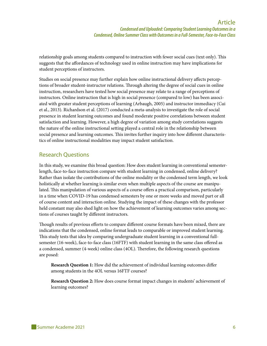relationship goals among students compared to instruction with fewer social cues (text only). This suggests that the affordances of technology used in online instruction may have implications for student perceptions of instructors.

Studies on social presence may further explain how online instructional delivery affects perceptions of broader student-instructor relations. Through altering the degree of social cues in online instruction, researchers have tested how social presence may relate to a range of perceptions of instructors. Online instruction that is high in social presence (compared to low) has been associated with greater student perceptions of learning (Arbaugh, 2005) and instructor immediacy (Cui et al., 2013). Richardson et al. (2017) conducted a meta-analysis to investigate the role of social presence in student learning outcomes and found moderate positive correlations between student satisfaction and learning. However, a high degree of variation among study correlations suggests the nature of the online instructional setting played a central role in the relationship between social presence and learning outcomes. This invites further inquiry into how different characteristics of online instructional modalities may impact student satisfaction.

#### Research Questions

In this study, we examine this broad question: How does student learning in conventional semesterlength, face-to-face instruction compare with student learning in condensed, online delivery? Rather than isolate the contributions of the online modality or the condensed term length, we look holistically at whether learning is similar even when multiple aspects of the course are manipulated. This manipulation of various aspects of a course offers a practical comparison, particularly in a time when COVID-19 has condensed semesters by one or more weeks and moved part or all of course content and interaction online. Studying the impact of these changes with the professor held constant may also shed light on how the achievement of learning outcomes varies among sections of courses taught by different instructors.

Though results of previous efforts to compare different course formats have been mixed, there are indications that the condensed, online format leads to comparable or improved student learning. This study tests that idea by comparing undergraduate student learning in a conventional fullsemester (16-week), face-to-face class (16FTF) with student learning in the same class offered as a condensed, summer (4-week) online class (4OL). Therefore, the following research questions are posed:

**Research Question 1:** How did the achievement of individual learning outcomes differ among students in the 4OL versus 16FTF courses?

**Research Question 2:** How does course format impact changes in students' achievement of learning outcomes?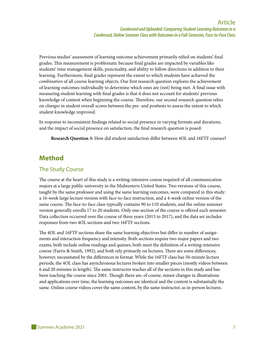Previous studies' assessment of learning outcome achievement primarily relied on students' final grades. This measurement is problematic because final grades are impacted by variables like students' time management skills, punctuality, and ability to follow directions in addition to their learning. Furthermore, final grades represent the extent to which students have achieved the *combination* of all course learning objects. Our first research question explores the achievement of learning outcomes individually to determine which ones are (not) being met. A final issue with measuring student learning with final grades is that it does not account for students' previous knowledge of content when beginning the course. Therefore, our second research question relies on *changes* in student overall scores between the pre- and posttests to assess the extent to which student knowledge improved.

In response to inconsistent findings related to social presence in varying formats and durations, and the impact of social presence on satisfaction, the final research question is posed:

**Research Question 3:** How did student satisfaction differ between 4OL and 16FTF courses?

#### **Method**

#### The Study Course

The course at the heart of this study is a writing-intensive course required of all communication majors at a large public university in the Midwestern United States. Two versions of this course, taught by the same professor and using the same learning outcomes, were compared in this study: a 16-week large lecture version with face-to-face instruction, and a 4-week online version of the same course. The face-to-face class typically contains 90 to 110 students, and the online summer version generally enrolls 17 to 20 students. Only one section of the course is offered each semester. Data collection occurred over the course of three years (2015 to 2017), and the data set includes responses from two 4OL sections and two 16FTF sections.

The 4OL and 16FTF sections share the same learning objectives but differ in number of assignments and interaction frequency and intensity. Both sections require two major papers and two exams, both include online readings and quizzes, both meet the definition of a writing-intensive course (Farris & Smith, 1992), and both rely primarily on lectures. There are some differences, however, necessitated by the differences in format. While the 16FTF class has 50-minute lecture periods, the 4OL class has asynchronous lectures broken into smaller pieces (mostly videos between 6 and 20 minutes in length). The same instructor teaches all of the sections in this study and has been teaching the course since 2001. Though there are, of course, minor changes in illustrations and applications over time, the learning outcomes are identical and the content is substantially the same. Online course videos cover the same content, by the same instructor, as in-person lectures.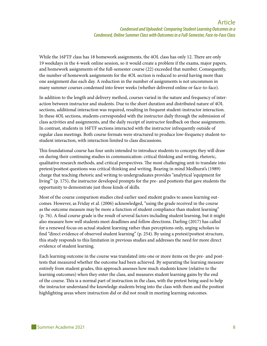While the 16FTF class has 18 homework assignments, the 4OL class has only 12. There are only 19 weekdays in the 4-week online session, so it would create a problem if the exams, major papers, and homework assignments of the full-semester course (22) exceeded that number. Consequently, the number of homework assignments for the 4OL section is reduced to avoid having more than one assignment due each day. A reduction in the number of assignments is not uncommon in many summer courses condensed into fewer weeks (whether delivered online or face-to-face).

In addition to the length and delivery method, courses varied in the nature and frequency of interaction between instructor and students. Due to the short duration and distributed nature of 4OL sections, additional interaction was required, resulting in frequent student-instructor interaction. In these 4OL sections, students corresponded with the instructor daily through the submission of class activities and assignments, and the daily receipt of instructor feedback on these assignments. In contrast, students in 16FTF sections interacted with the instructor infrequently outside of regular class meetings. Both course formats were structured to produce low-frequency student-tostudent interaction, with interaction limited to class discussions.

This foundational course has four units intended to introduce students to concepts they will draw on during their continuing studies in communication: critical thinking and writing, rhetoric, qualitative research methods, and critical perspectives. The most challenging unit to translate into pretest/posttest questions was critical thinking and writing. Bearing in mind Medhurst's (1989) charge that teaching rhetoric and writing to undergraduates provides "analytical 'equipment for living'" (p. 175), the instructor developed prompts for the pre- and posttests that gave students the opportunity to demonstrate just those kinds of skills.

Most of the course comparison studies cited earlier used student grades to assess learning outcomes. However, as Friday et al. (2006) acknowledged, "using the grade received in the course as the outcome measure may be more a function of student compliance than student learning" (p. 76). A final course grade is the result of several factors including student learning, but it might also measure how well students meet deadlines and follow directions. Darling (2017) has called for a renewed focus on actual student learning rather than perceptions only, urging scholars to find "direct evidence of observed student learning" (p. 254). By using a pretest/posttest structure, this study responds to this limitation in previous studies and addresses the need for more direct evidence of student learning.

Each learning outcome in the course was translated into one or more items on the pre- and posttests that measured whether the outcome had been achieved. By separating the learning measure entirely from student grades, this approach assesses how much students know (relative to the learning outcomes) when they enter the class, and measures student learning gains by the end of the course. This is a normal part of instruction in the class, with the pretest being used to help the instructor understand the knowledge students bring into the class with them and the posttest highlighting areas where instruction did or did not result in meeting learning outcomes.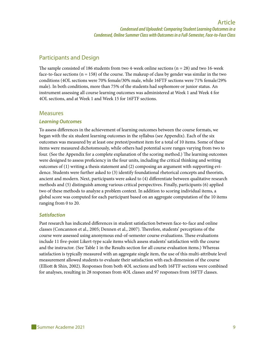#### Participants and Design

The sample consisted of 186 students from two 4-week online sections ( $n = 28$ ) and two 16-week face-to-face sections ( $n = 158$ ) of the course. The makeup of class by gender was similar in the two conditions (4OL sections were 70% female/30% male, while 16FTF sections were 71% female/29% male). In both conditions, more than 75% of the students had sophomore or junior status. An instrument assessing all course learning outcomes was administered at Week 1 and Week 4 for 4OL sections, and at Week 1 and Week 15 for 16FTF sections.

#### **Measures**

#### *Learning Outcomes*

To assess differences in the achievement of learning outcomes between the course formats, we began with the six student learning outcomes in the syllabus (see Appendix). Each of the six outcomes was measured by at least one pretest/posttest item for a total of 10 items. Some of these items were measured dichotomously, while others had potential score ranges varying from two to four. (See the Appendix for a complete explanation of the scoring method.) The learning outcomes were designed to assess proficiency in the four units, including the critical thinking and writing outcomes of (1) writing a thesis statement and (2) composing an argument with supporting evidence. Students were further asked to (3) identify foundational rhetorical concepts and theorists, ancient and modern. Next, participants were asked to (4) differentiate between qualitative research methods and (5) distinguish among various critical perspectives. Finally, participants (6) applied two of these methods to analyze a problem context. In addition to scoring individual items, a global score was computed for each participant based on an aggregate computation of the 10 items ranging from 0 to 20.

#### *Satisfaction*

Past research has indicated differences in student satisfaction between face-to-face and online classes (Concannon et al., 2005; Dennen et al., 2007). Therefore, students' perceptions of the course were assessed using anonymous end-of-semester course evaluations. These evaluations include 11 five-point Likert-type scale items which assess students' satisfaction with the course and the instructor. (See Table 1 in the Results section for all course evaluation items.) Whereas satisfaction is typically measured with an aggregate single item, the use of this multi-attribute level measurement allowed students to evaluate their satisfaction with each dimension of the course (Elliott & Shin, 2002). Responses from both 4OL sections and both 16FTF sections were combined for analyses, resulting in 28 responses from 4OL classes and 97 responses from 16FTF classes.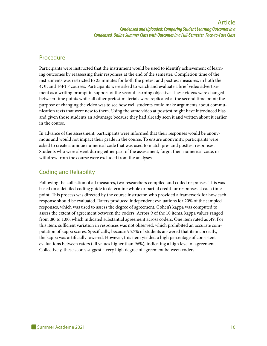#### Procedure

Participants were instructed that the instrument would be used to identify achievement of learning outcomes by reassessing their responses at the end of the semester. Completion time of the instruments was restricted to 25 minutes for both the pretest and posttest measures, in both the 4OL and 16FTF courses. Participants were asked to watch and evaluate a brief video advertisement as a writing prompt in support of the second learning objective. These videos were changed between time points while all other pretest materials were replicated at the second time point; the purpose of changing the video was to see how well students could make arguments about communication texts that were new to them. Using the same video at posttest might have introduced bias and given those students an advantage because they had already seen it and written about it earlier in the course.

In advance of the assessment, participants were informed that their responses would be anonymous and would not impact their grade in the course. To ensure anonymity, participants were asked to create a unique numerical code that was used to match pre- and posttest responses. Students who were absent during either part of the assessment, forgot their numerical code, or withdrew from the course were excluded from the analyses.

#### Coding and Reliability

Following the collection of all measures, two researchers compiled and coded responses. This was based on a detailed coding guide to determine whole or partial credit for responses at each time point. This process was directed by the course instructor, who provided a framework for how each response should be evaluated. Raters produced independent evaluations for 20% of the sampled responses, which was used to assess the degree of agreement. Cohen's kappa was computed to assess the extent of agreement between the coders. Across 9 of the 10 items, kappa values ranged from .80 to 1.00, which indicated substantial agreement across coders. One item rated as .49. For this item, sufficient variation in responses was not observed, which prohibited an accurate computation of kappa scores. Specifically, because 95.7% of students answered that item correctly, the kappa was artificially lowered. However, this item yielded a high percentage of consistent evaluations between raters (all values higher than 96%), indicating a high level of agreement. Collectively, these scores suggest a very high degree of agreement between coders.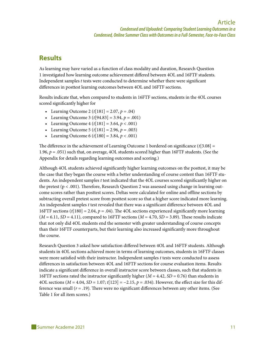#### **Results**

As learning may have varied as a function of class modality and duration, Research Question 1 investigated how learning outcome achievement differed between 4OL and 16FTF students. Independent samples *t* tests were conducted to determine whether there were significant differences in posttest learning outcomes between 4OL and 16FTF sections.

Results indicate that, when compared to students in 16FTF sections, students in the 4OL courses scored significantly higher for

- Learning Outcome 2 ( $t[181] = 2.07$ ,  $p = .04$ )
- Learning Outcome 3 ( $t$ [94.83] = 3.94,  $p = .001$ )
- Learning Outcome  $4(t[181] = 3.64, p < .001)$
- Learning Outcome 5 ( $t[181] = 2.96$ ,  $p = .003$ )
- Learning Outcome 6 ( $t[180] = 3.84$ ,  $p < .001$ )

The difference in the achievement of Learning Outcome 1 bordered on significance (*t*[3.08] = 1.96, *p* = .051) such that, on average, 4OL students scored higher than 16FTF students. (See the Appendix for details regarding learning outcomes and scoring.)

Although 4OL students achieved significantly higher learning outcomes on the posttest, it may be the case that they began the course with a better understanding of course content than 16FTF students. An independent samples *t* test indicated that the 4OL courses scored significantly higher on the pretest  $(p < .001)$ . Therefore, Research Question 2 was assessed using change in learning outcome scores rather than posttest scores. Deltas were calculated for online and offline sections by subtracting overall pretest score from posttest score so that a higher score indicated more learning. An independent samples *t* test revealed that there was a significant difference between 4OL and 16FTF sections (*t*[180] = 2.04, *p* = .04). The 4OL sections experienced significantly more learning  $(M = 6.11, SD = 4.11)$ , compared to 16FTF sections  $(M = 4.70, SD = 3.89)$ . These results indicate that not only did 4OL students end the semester with greater understanding of course concepts than their 16FTF counterparts, but their learning also increased significantly more throughout the course.

Research Question 3 asked how satisfaction differed between 4OL and 16FTF students. Although students in 4OL sections achieved more in terms of learning outcomes, students in 16FTF classes were more satisfied with their instructor. Independent samples *t* tests were conducted to assess differences in satisfaction between 4OL and 16FTF sections for course evaluation items. Results indicate a significant difference in overall instructor score between classes, such that students in 16FTF sections rated the instructor significantly higher ( $M = 4.42$ ,  $SD = 0.76$ ) than students in 4OL sections (*M* = 4.04, *SD* = 1.07; *t*[123] = −2.15, *p* = .034). However, the effect size for this difference was small (*r* = .19). There were no significant differences between any other items. (See Table 1 for all item scores.)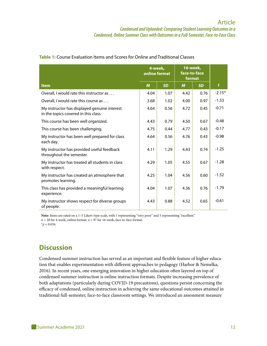|                                                                                      | 4-week,<br>online format |           | 16-week,<br>face-to-face<br>format |           |              |
|--------------------------------------------------------------------------------------|--------------------------|-----------|------------------------------------|-----------|--------------|
| <b>Item</b>                                                                          | $\boldsymbol{M}$         | <b>SD</b> | $\boldsymbol{M}$                   | <b>SD</b> | $\mathbf{t}$ |
| Overall, I would rate this instructor as                                             | 4.04                     | 1.07      | 4.42                               | 0.76      | $-2.15*$     |
| Overall, I would rate this course as                                                 | 3.68                     | 1.02      | 4.00                               | 0.97      | $-1.53$      |
| My instructor has displayed genuine interest<br>in the topics covered in this class. | 4.64                     | 0.56      | 4.72                               | 0.45      | $-0.71$      |
| This course has been well organized.                                                 | 4.43                     | 0.79      | 4.50                               | 0.67      | $-0.48$      |
| This course has been challenging.                                                    | 4.75                     | 0.44      | 4.77                               | 0.43      | $-0.17$      |
| My instructor has been well prepared for class<br>each day.                          | 4.64                     | 0.56      | 4.76                               | 0.43      | $-0.98$      |
| My instructor has provided useful feedback<br>throughout the semester.               | 4.11                     | 1.29      | 4.43                               | 0.74      | $-1.25$      |
| My instructor has treated all students in class<br>with respect.                     | 4.29                     | 1.05      | 4.55                               | 0.67      | $-1.28$      |
| My instructor has created an atmosphere that<br>promotes learning.                   | 4.25                     | 1.04      | 4.56                               | 0.60      | $-1.52$      |
| This class has provided a meaningful learning<br>experience.                         | 4.04                     | 1.07      | 4.36                               | 0.76      | $-1.79$      |
| My instructor shows respect for diverse groups<br>of people.                         | 4.43                     | 0.88      | 4.52                               | 0.65      | $-0.61$      |

#### **Table 1:** Course Evaluation Items and Scores for Online and Traditional Classes

Note: Items are rated on a 1-5 Likert-type scale, with 1 representing "very poor" and 5 representing "excellent."  $n = 28$  for 4-week, online format;  $n = 97$  for 16-week, face-to-face format.

 $*_{p} = 0.034$ .

#### **Discussion**

Condensed summer instruction has served as an important and flexible feature of higher education that enables experimentation with different approaches to pedagogy (Harbor & Nemelka, 2016). In recent years, one emerging innovation in higher education often layered on top of condensed summer instruction is online instruction formats. Despite increasing prevalence of both adaptations (particularly during COVID-19 precautions), questions persist concerning the efficacy of condensed, online instruction in achieving the same educational outcomes attained in traditional full-semester, face-to-face classroom settings. We introduced an assessment measure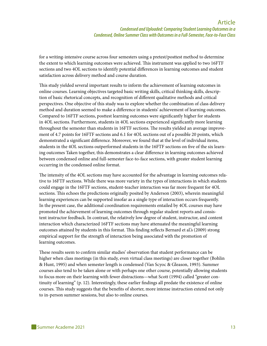for a writing-intensive course across four semesters using a pretest/posttest method to determine the extent to which learning outcomes were achieved. This instrument was applied to two 16FTF sections and two 4OL sections to identify potential differences in learning outcomes and student satisfaction across delivery method and course duration.

This study yielded several important results to inform the achievement of learning outcomes in online courses. Learning objectives targeted basic writing skills, critical thinking skills, description of basic rhetorical concepts, and recognition of different qualitative methods and critical perspectives. One objective of this study was to explore whether the combination of class delivery method and duration seemed to make a difference in students' achievement of learning outcomes. Compared to 16FTF sections, posttest learning outcomes were significantly higher for students in 4OL sections. Furthermore, students in 4OL sections experienced significantly more learning throughout the semester than students in 16FTF sections. The results yielded an average improvement of 4.7 points for 16FTF sections and 6.1 for 4OL sections out of a possible 20 points, which demonstrated a significant difference. Moreover, we found that at the level of individual items, students in the 4OL sections outperformed students in the 16FTF sections on five of the six learning outcomes Taken together, this demonstrates a clear difference in learning outcomes achieved between condensed online and full-semester face-to-face sections, with greater student learning occurring in the condensed online format.

The intensity of the 4OL sections may have accounted for the advantage in learning outcomes relative to 16FTF sections. While there was more variety in the types of interactions in which students could engage in the 16FTF sections, student-teacher interaction was far more frequent for 4OL sections. This echoes the predictions originally posited by Anderson (2003), wherein meaningful learning experiences can be supported insofar as a single type of interaction occurs frequently. In the present case, the additional coordination requirements entailed by 4OL courses may have promoted the achievement of learning outcomes through regular student reports and consistent instructor feedback. In contrast, the relatively low degree of student, instructor, and content interaction which characterized 16FTF sections may have attenuated the meaningful learning outcomes attained by students in this format. This finding reflects Bernard et al.'s (2009) strong empirical support for the strength of interaction being associated with the promotion of learning outcomes.

These results seem to confirm similar studies' observation that student performance can be higher when class meetings (in this study, even virtual class meetings) are closer together (Bohlin & Hunt, 1995) and when semester length is condensed (Van Scyoc & Gleason, 1993). Summer courses also tend to be taken alone or with perhaps one other course, potentially allowing students to focus more on their learning with fewer distractions—what Scott (1994) called "greater continuity of learning" (p. 12). Interestingly, these earlier findings all predate the existence of online courses. This study suggests that the benefits of shorter, more intense instruction extend not only to in-person summer sessions, but also to online courses.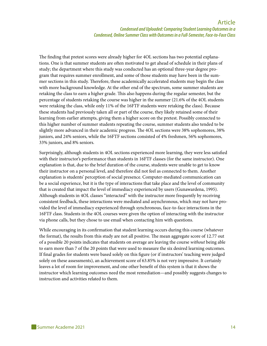The finding that pretest scores were already higher for 4OL sections has two potential explanations. One is that summer students are often motivated to get ahead of schedule in their plans of study; the department where this study was conducted has an optional three-year degree program that requires summer enrollment, and some of those students may have been in the summer sections in this study. Therefore, these academically accelerated students may begin the class with more background knowledge. At the other end of the spectrum, some summer students are retaking the class to earn a higher grade. This also happens during the regular semester, but the percentage of students retaking the course was higher in the summer (21.6% of the 4OL students were retaking the class, while only 11% of the 16FTF students were retaking the class). Because these students had previously taken all or part of the course, they likely retained some of their learning from earlier attempts, giving them a higher score on the pretest. Possibly connected to this higher number of summer students repeating the course, summer students also tended to be slightly more advanced in their academic progress. The 4OL sections were 38% sophomores, 38% juniors, and 24% seniors, while the 16FTF sections consisted of 4% freshmen, 56% sophomores, 33% juniors, and 8% seniors.

Surprisingly, although students in 4OL sections experienced more learning, they were less satisfied with their instructor's performance than students in 16FTF classes (for the same instructor). One explanation is that, due to the brief duration of the course, students were unable to get to know their instructor on a personal level, and therefore did not feel as connected to them. Another explanation is students' perception of social presence. Computer-mediated communication can be a social experience, but it is the type of interactions that take place and the level of community that is created that impact the level of immediacy experienced by users (Gunawardena, 1995). Although students in 4OL classes "interacted" with the instructor more frequently by receiving consistent feedback, these interactions were mediated and asynchronous, which may not have provided the level of immediacy experienced through synchronous, face-to-face interactions in the 16FTF class. Students in the 4OL courses were given the option of interacting with the instructor via phone calls, but they chose to use email when contacting him with questions.

While encouraging in its confirmation that student learning occurs during this course (whatever the format), the results from this study are not all positive. The mean aggregate score of 12.77 out of a possible 20 points indicates that students on average are leaving the course *without* being able to earn more than 7 of the 20 points that were used to measure the six desired learning outcomes. If final grades for students were based solely on this figure (or if instructors' teaching were judged solely on these assessments), an achievement score of 63.85% is not very impressive. It certainly leaves a lot of room for improvement, and one other benefit of this system is that it shows the instructor which learning outcomes need the most remediation—and possibly suggests changes to instruction and activities related to them.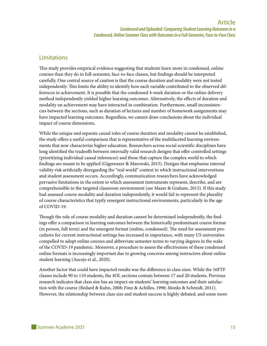#### Limitations

This study provides empirical evidence suggesting that students learn more in condensed, online courses than they do in full-semester, face-to-face classes, but findings should be interpreted carefully. One central source of caution is that the course duration and modality were not tested independently. This limits the ability to identify how each variable contributed to the observed differences in achievement. It is possible that the condensed 4-week duration or the online delivery method independently yielded higher learning outcomes. Alternatively, the effects of duration and modality on achievement may have interacted in combination. Furthermore, small inconsistencies between the sections, such as duration of lectures and number of homework assignments may have impacted learning outcomes. Regardless, we cannot draw conclusions about the individual impact of course dimensions.

While the unique and separate causal roles of course duration and modality cannot be established, the study offers a useful comparison that is representative of the multifaceted learning environments that now characterize higher education. Researchers across social scientific disciplines have long identified the tradeoffs between internally valid research designs that offer controlled settings (prioritizing individual causal inferences) and those that capture the complex world to which findings are meant to be applied (Gigerenzer & Marewski, 2015). Designs that emphasize internal validity risk artificially disregarding the "real world" context in which instructional interventions and student assessment occurs. Accordingly, communication researchers have acknowledged pervasive limitations in the extent to which assessment instruments represent, describe, and are comprehensible to the targeted classroom environment (see Mazer & Graham, 2015). If this study had assessed course modality and duration independently, it would fail to represent the plurality of course characteristics that typify emergent instructional environments, particularly in the age of COVID-19.

Though the role of course modality and duration cannot be determined independently, the findings offer a comparison in learning outcomes between the historically predominant course format (in person, full term) and the emergent format (online, condensed). The need for assessment procedures for current instructional settings has increased in importance, with many US universities compelled to adopt online courses and abbreviate semester terms to varying degrees in the wake of the COVID-19 pandemic. Moreover, a procedure to assess the effectiveness of these condensed online formats is increasingly important due to growing concerns among instructors about online student learning (Aucejo et al., 2020).

Another factor that could have impacted results was the difference in class sizes. While the 16FTF classes include 90 to 110 students, the 4OL sections contain between 17 and 20 students. Previous research indicates that class size has an impact on students' learning outcomes and their satisfaction with the course (Bedard & Kuhn, 2008; Finn & Achilles, 1990; Monks & Schmidt, 2011). However, the relationship between class size and student success is highly debated, and some more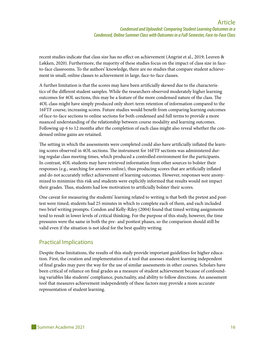recent studies indicate that class size has no effect on achievement (Angrist et al., 2019; Leuven & Løkken, 2020). Furthermore, the majority of these studies focus on the impact of class size in faceto-face classrooms. To the authors' knowledge, there are no studies that compare student achievement in small, online classes to achievement in large, face-to-face classes.

A further limitation is that the scores may have been artificially skewed due to the characteristics of the different student samples. While the researchers observed moderately higher learning outcomes for 4OL sections, this may be a feature of the more condensed nature of the class. The 4OL class might have simply produced only short-term retention of information compared to the 16FTF course, increasing scores. Future studies would benefit from comparing learning outcomes of face-to-face sections to online sections for both condensed and full terms to provide a more nuanced understanding of the relationship between course modality and learning outcomes. Following up 6 to 12 months after the completion of each class might also reveal whether the condensed online gains are retained.

The setting in which the assessments were completed could also have artificially inflated the learning scores observed in 4OL sections. The instrument for 16FTF sections was administered during regular class meeting times, which produced a controlled environment for the participants. In contrast, 4OL students may have retrieved information from other sources to bolster their responses (e.g., searching for answers online), thus producing scores that are artificially inflated and do not accurately reflect achievement of learning outcomes. However, responses were anonymized to minimize this risk and students were explicitly informed that results would not impact their grades. Thus, students had low motivation to artificially bolster their scores.

One caveat for measuring the students' learning related to writing is that both the pretest and posttest were timed; students had 25 minutes in which to complete each of them, and each included two brief writing prompts. Condon and Kelly-Riley (2004) found that timed writing assignments tend to result in lower levels of critical thinking. For the purpose of this study, however, the time pressures were the same in both the pre- and posttest phases, so the comparison should still be valid even if the situation is not ideal for the best quality writing.

#### Practical Implications

Despite these limitations, the results of this study provide important guidelines for higher education. First, the creation and implementation of a tool that assesses student learning independent of final grades may pave the way for the use of similar assessments in other courses. Scholars have been critical of reliance on final grades as a measure of student achievement because of confounding variables like students' compliance, punctuality, and ability to follow directions. An assessment tool that measures achievement independently of these factors may provide a more accurate representation of student learning.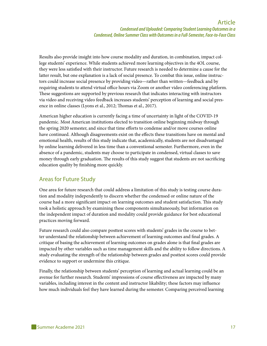Results also provide insight into how course modality and duration, in combination, impact college students' experience. While students achieved more learning objectives in the 4OL course, they were less satisfied with their instructor. Future research is needed to determine a cause for the latter result, but one explanation is a lack of social presence. To combat this issue, online instructors could increase social presence by providing video—rather than written—feedback and by requiring students to attend virtual office hours via Zoom or another video conferencing platform. These suggestions are supported by previous research that indicates interacting with instructors via video and receiving video feedback increases students' perception of learning and social presence in online classes (Lyons et al., 2012; Thomas et al., 2017).

American higher education is currently facing a time of uncertainty in light of the COVID-19 pandemic. Most American institutions elected to transition online beginning midway through the spring 2020 semester, and since that time efforts to condense and/or move courses online have continued. Although disagreements exist on the effects these transitions have on mental and emotional health, results of this study indicate that, academically, students are not disadvantaged by online learning delivered in less time than a conventional semester. Furthermore, even in the absence of a pandemic, students may choose to participate in condensed, virtual classes to save money through early graduation. The results of this study suggest that students are not sacrificing education quality by finishing more quickly.

#### Areas for Future Study

One area for future research that could address a limitation of this study is testing course duration and modality independently to discern whether the condensed or online nature of the course had a more significant impact on learning outcomes and student satisfaction. This study took a holistic approach by examining these components simultaneously, but information on the independent impact of duration and modality could provide guidance for best educational practices moving forward.

Future research could also compare posttest scores with students' grades in the course to better understand the relationship between achievement of learning outcomes and final grades. A critique of basing the achievement of learning outcomes on grades alone is that final grades are impacted by other variables such as time management skills and the ability to follow directions. A study evaluating the strength of the relationship between grades and posttest scores could provide evidence to support or undermine this critique.

Finally, the relationship between students' perception of learning and actual learning could be an avenue for further research. Students' impressions of course effectiveness are impacted by many variables, including interest in the content and instructor likability; these factors may influence how much individuals feel they have learned during the semester. Comparing perceived learning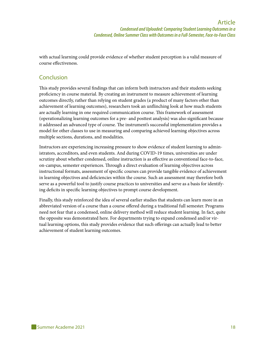with actual learning could provide evidence of whether student perception is a valid measure of course effectiveness.

#### Conclusion

This study provides several findings that can inform both instructors and their students seeking proficiency in course material. By creating an instrument to measure achievement of learning outcomes directly, rather than relying on student grades (a product of many factors other than achievement of learning outcomes), researchers took an unflinching look at how much students are actually learning in one required communication course. This framework of assessment (operationalizing learning outcomes for a pre- and posttest analysis) was also significant because it addressed an advanced type of course. The instrument's successful implementation provides a model for other classes to use in measuring and comparing achieved learning objectives across multiple sections, durations, and modalities.

Instructors are experiencing increasing pressure to show evidence of student learning to administrators, accreditors, and even students. And during COVID-19 times, universities are under scrutiny about whether condensed, online instruction is as effective as conventional face-to-face, on-campus, semester experiences. Through a direct evaluation of learning objectives across instructional formats, assessment of specific courses can provide tangible evidence of achievement in learning objectives and deficiencies within the course. Such an assessment may therefore both serve as a powerful tool to justify course practices to universities and serve as a basis for identifying deficits in specific learning objectives to prompt course development.

Finally, this study reinforced the idea of several earlier studies that students can learn more in an abbreviated version of a course than a course offered during a traditional full semester. Programs need not fear that a condensed, online delivery method will reduce student learning. In fact, quite the opposite was demonstrated here. For departments trying to expand condensed and/or virtual learning options, this study provides evidence that such offerings can actually lead to better achievement of student learning outcomes.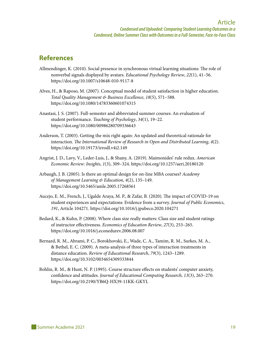#### **References**

- Allmendinger, K. (2010). Social presence in synchronous virtual learning situations: The role of nonverbal signals displayed by avatars. *Educational Psychology Review*, *22*(1), 41–56. <https://doi.org/10.1007/s10648-010-9117-8>
- Alves, H., & Raposo, M. (2007). Conceptual model of student satisfaction in higher education. *Total Quality Management & Business Excellence*, *18*(5), 571–588. h[ttps://doi.org/10.1080/14783360601074315](https://doi.org/10.1080/14783360601074315)
- Anastasi, J. S. (2007). Full-semester and abbreviated summer courses: An evaluation of student performance. *Teaching of Psychology*, *34*(1), 19–22. [https://doi.org/10.1080/00986280709336643](https://doi.org/10.1080%2F00986280709336643)
- Anderson, T. (2003). Getting the mix right again: An updated and theoretical rationale for interaction. *The International Review of Research in Open and Distributed Learning*, *4*(2). <https://doi.org/10.19173/irrodl.v4i2.149>
- Angrist, J. D., Lavy, V., Leder-Luis, J., & Shany, A. (2019). Maimonides' rule redux. *American Economic Review: Insights*, *1*(3), 309–324. <https://doi.org/10.1257/aeri.20180120>
- Arbaugh, J. B. (2005). Is there an optimal design for on-line MBA courses? *Academy of Management Learning & Education*, *4*(2), 135–149. <https://doi.org/10.5465/amle.2005.17268561>
- Aucejo, E. M., French, J., Ugalde Araya, M. P., & Zafar, B. (2020). The impact of COVID-19 on student experiences and expectations: Evidence from a survey. *Journal of Public Economics*, *191*, Article 104271.<https://doi.org/10.1016/j.jpubeco.2020.104271>
- Bedard, K., & Kuhn, P. (2008). Where class size really matters: Class size and student ratings of instructor effectiveness. *Economics of Education Review*, *27*(3), 253–265. <https://doi.org/10.1016/j.econedurev.2006.08.007>
- Bernard, R. M., Abrami, P. C., Borokhovski, E., Wade, C. A., Tamim, R. M., Surkes, M. A., & Bethel, E. C. (2009). A meta-analysis of three types of interaction treatments in distance education. *Review of Educational Research*, *79*(3), 1243–1289. <https://doi.org/10.3102/0034654309333844>
- Bohlin, R. M., & Hunt, N. P. (1995). Course structure effects on students' computer anxiety, confidence and attitudes. *Journal of Educational Computing Research*, *13*(3), 263–270. <https://doi.org/10.2190/YB6Q-HX39-11KK-GKYL>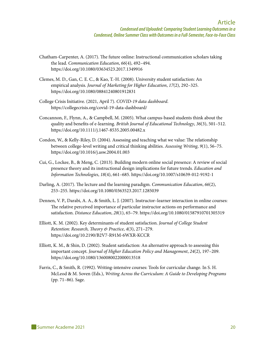- Chatham-Carpenter, A. (2017). The future online: Instructional communication scholars taking the lead. *Communication Education*, *66*(4), 492–494. <https://doi.org/10.1080/03634523.2017.1349916>
- Clemes, M. D., Gan, C. E. C., & Kao, T.-H. (2008). University student satisfaction: An empirical analysis. *Journal of Marketing for Higher Education*, *17*(2), 292–325. <https://doi.org/10.1080/08841240801912831>
- College Crisis Initiative. (2021, April 7). *COVID-19 data dashboard*. <https://collegecrisis.org/covid-19-data-dashboard/>
- Concannon, F., Flynn, A., & Campbell, M. (2005). What campus-based students think about the quality and benefits of e-learning. *British Journal of Educational Technology*, *36*(3), 501–512. <https://doi.org/10.1111/j.1467-8535.2005.00482.x>
- Condon, W., & Kelly-Riley, D. (2004). Assessing and teaching what we value: The relationship between college-level writing and critical thinking abilities. *Assessing Writing*, *9*(1), 56–75. <https://doi.org/10.1016/j.asw.2004.01.003>
- Cui, G., Lockee, B., & Meng, C. (2013). Building modern online social presence: A review of social presence theory and its instructional design implications for future trends. *Education and Information Technologies*, *18*(4), 661–685.<https://doi.org/10.1007/s10639-012-9192-1>
- Darling, A. (2017). The lecture and the learning paradigm. *Communication Education*, *66*(2), 253–255.<https://doi.org/10.1080/0363523.2017.1285039>
- Dennen, V. P., Darabi, A. A., & Smith, L. J. (2007). Instructor–learner interaction in online courses: The relative perceived importance of particular instructor actions on performance and satisfaction. *Distance Education*, *28*(1), 65–79. <https://doi.org/10.1080/01587910701305319>
- Elliott, K. M. (2002). Key determinants of student satisfaction. *Journal of College Student Retention: Research, Theory & Practice*, *4*(3), 271–279. [https://doi.org/10.2190/B2V7-R91M-6WXR-KCCR](https://doi.org/10.2190%2FB2V7-R91M-6WXR-KCCR)
- Elliott, K. M., & Shin, D. (2002). Student satisfaction: An alternative approach to assessing this important concept. *Journal of Higher Education Policy and Management*, *24*(2), 197–209. <https://doi.org/10.1080/1360080022000013518>
- Farris, C., & Smith, R. (1992). Writing-intensive courses: Tools for curricular change. In S. H. McLeod & M. Soven (Eds.), *Writing Across the Curriculum: A Guide to Developing Programs* (pp. 71–86). Sage.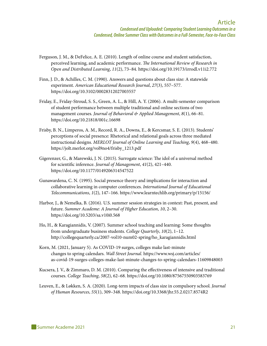- Ferguson, J. M., & DeFelice, A. E. (2010). Length of online course and student satisfaction, perceived learning, and academic performance. *The International Review of Research in Open and Distributed Learning*, *11*(2), 73–84.<https://doi.org/10.19173/irrodl.v11i2.772>
- Finn, J. D., & Achilles, C. M. (1990). Answers and questions about class size: A statewide experiment. *American Educational Research Journal*, *27*(3), 557–577. <https://doi.org/10.3102/00028312027003557>
- Friday, E., Friday-Stroud, S. S., Green, A. L., & Hill, A. Y. (2006). A multi-semester comparison of student performance between multiple traditional and online sections of two management courses. *Journal of Behavioral & Applied Management*, *8*(1), 66–81. <https://doi.org/10.21818/001c.16698>
- Frisby, B. N., Limperos, A. M., Record, R. A., Downs, E., & Kercsmar, S. E. (2013). Students' perceptions of social presence: Rhetorical and relational goals across three mediated instructional designs. *MERLOT Journal of Online Learning and Teaching*, *9*(4), 468–480. https://jolt.merlot.org/vol9no4/frisby\_1213.pdf
- Gigerenzer, G., & Marewski, J. N. (2015). Surrogate science: The idol of a universal method for scientific inference. *Journal of Management*, *41*(2), 421–440. <https://doi.org/10.1177/0149206314547522>
- Gunawardena, C. N. (1995). Social presence theory and implications for interaction and collaborative learning in computer conferences. *International Journal of Educational Telecommunications*, *1*(2), 147–166. <https://www.learntechlib.org/primary/p/15156/>
- Harbor, J., & Nemelka, B. (2016). U.S. summer session strategies in context: Past, present, and future. *Summer Academe: A Journal of Higher Education*, *10*, 2–30. [https://doi.org/10.5203/sa.v10i0.568](https://summeracademe.org/articles/abstract/10.5203/sa.v10i0.568/)
- Ho, H., & Karagiannidis, V. (2007). Summer school teaching and learning: Some thoughts from undergraduate business students. *College Quarterly*, *10*(2), 1–12. [http://collegequarterly.ca/2007-vol10-num02-spring/ho\\_karagiannidis.html](http://collegequarterly.ca/2007-vol10-num02-spring/ho_karagiannidis.html)
- Korn, M. (2021, January 5). As COVID-19 surges, colleges make last-minute changes to spring calendars. *Wall Street Journal*. [https://www.wsj.com/articles/](https://www.wsj.com/articles/as-covid-19-surges-colleges-make-last-minute-changes-to-spring-calendars-11609848003) [as-covid-19-surges-colleges-make-last-minute-changes-to-spring-calendars-11609848003](https://www.wsj.com/articles/as-covid-19-surges-colleges-make-last-minute-changes-to-spring-calendars-11609848003)
- Kucsera, J. V., & Zimmaro, D. M. (2010). Comparing the effectiveness of intensive and traditional courses. *College Teaching*, *58*(2), 62–68.<https://doi.org/10.1080/87567550903583769>
- Leuven, E., & Løkken, S. A. (2020). Long-term impacts of class size in compulsory school. *Journal of Human Resources*, *55*(1), 309–348.<https://doi.org/10.3368/jhr.55.2.0217.8574R2>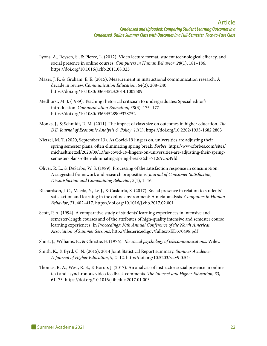- Lyons, A., Reysen, S., & Pierce, L. (2012). Video lecture format, student technological efficacy, and social presence in online courses. *Computers in Human Behavior*, *28*(1), 181–186. <https://doi.org/10.1016/j.chb.2011.08.025>
- Mazer, J. P., & Graham, E. E. (2015). Measurement in instructional communication research: A decade in review. *Communication Education*, *64*(2), 208–240. <https://doi.org/10.1080/03634523.2014.1002509>
- Medhurst, M. J. (1989). Teaching rhetorical criticism to undergraduates: Special editor's introduction. *Communication Education*, *38*(3), 175–177. <https://doi.org/10.1080/03634528909378752>
- Monks, J., & Schmidt, R. M. (2011). The impact of class size on outcomes in higher education. *The B.E. Journal of Economic Analysis & Policy*, *11*(1). <https://doi.org/10.2202/1935-1682.2803>
- Nietzel, M. T. (2020, September 13). As Covid-19 lingers on, universities are adjusting their spring semester plans, often eliminating spring break. *Forbes*[. https://www.forbes.com/sites/](https://www.forbes.com/sites/michaeltnietzel/2020/09/13/as-covid-19-lingers-on-universities-are-adjusting-their-spring-semester-plans-often-eliminating-spring-break/?sh=712c9c5c49fd) [michaeltnietzel/2020/09/13/as-covid-19-lingers-on-universities-are-adjusting-their-spring](https://www.forbes.com/sites/michaeltnietzel/2020/09/13/as-covid-19-lingers-on-universities-are-adjusting-their-spring-semester-plans-often-eliminating-spring-break/?sh=712c9c5c49fd)[semester-plans-often-eliminating-spring-break/?sh=712c9c5c49fd](https://www.forbes.com/sites/michaeltnietzel/2020/09/13/as-covid-19-lingers-on-universities-are-adjusting-their-spring-semester-plans-often-eliminating-spring-break/?sh=712c9c5c49fd)
- Oliver, R. L., & DeSarbo, W. S. (1989). Processing of the satisfaction response in consumption: A suggested framework and research propositions. *Journal of Consumer Satisfaction, Dissatisfaction and Complaining Behavior*, *2*(1), 1–16.
- Richardson, J. C., Maeda, Y., Lv, J., & Caskurlu, S. (2017). Social presence in relation to students' satisfaction and learning in the online environment: A meta-analysis. *Computers in Human Behavior*, *71*, 402–417.<https://doi.org/10.1016/j.chb.2017.02.001>
- Scott, P. A. (1994). A comparative study of students' learning experiences in intensive and semester-length courses and of the attributes of high-quality intensive and semester course learning experiences. In *Proceedings: 30th Annual Conference of the North American Association of Summer Sessions*.<http://files.eric.ed.gov/fulltext/ED370498.pdf>
- Short, J., Williams, E., & Christie, B. (1976). *The social psychology of telecommunications*. Wiley.
- Smith, K., & Byrd, C. N. (2015). 2014 Joint Statistical Report summary. *Summer Academe: A Journal of Higher Education*, *9*, 2–12. [http://doi.org/10.5203/sa.v9i0.544](https://summeracademe.org/articles/abstract/10.5203/sa.v9i0.544/)
- Thomas, R. A., West, R. E., & Borup, J. (2017). An analysis of instructor social presence in online text and asynchronous video feedback comments. *The Internet and Higher Education*, *33*, 61–73. <https://doi.org/10.1016/j.iheduc.2017.01.003>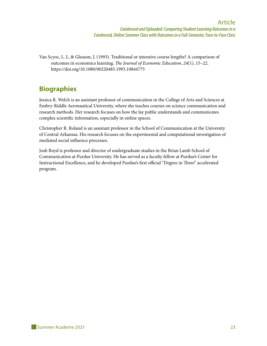Van Scyoc, L. J., & Gleason, J. (1993). Traditional or intensive course lengths? A comparison of outcomes in economics learning. *The Journal of Economic Education*, *24*(1), 15–22. <https://doi.org/10.1080/00220485.1993.10844775>

#### **Biographies**

Jessica R. Welch is an assistant professor of communication in the College of Arts and Sciences at Embry-Riddle Aeronautical University, where she teaches courses on science communication and research methods. Her research focuses on how the lay public understands and communicates complex scientific information, especially in online spaces.

Christopher R. Roland is an assistant professor in the School of Communication at the University of Central Arkansas. His research focuses on the experimental and computational investigation of mediated social influence processes.

Josh Boyd is professor and director of undergraduate studies in the Brian Lamb School of Communication at Purdue University. He has served as a faculty fellow at Purdue's Center for Instructional Excellence, and he developed Purdue's first official "Degree in Three" accelerated program.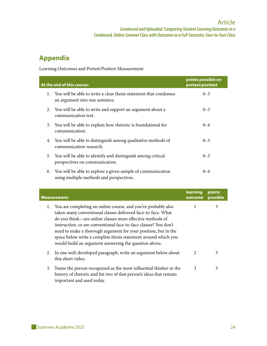#### **Appendix**

Learning Outcomes and Pretest/Posttest Measurement

|    | At the end of this course:                                                                                 | points possible on<br>pretest/posttest |
|----|------------------------------------------------------------------------------------------------------------|----------------------------------------|
|    | 1. You will be able to write a clear thesis statement that condenses<br>an argument into one sentence.     | $0 - 3$                                |
|    | 2. You will be able to write and support an argument about a<br>communication text.                        | $0 - 3$                                |
| 3. | You will be able to explain how rhetoric is foundational for<br>communication.                             | $0 - 4$                                |
| 4. | You will be able to distinguish among qualitative methods of<br>communication research.                    | $0 - 3$                                |
| 5. | You will be able to identify and distinguish among critical<br>perspectives on communication.              | $0 - 3$                                |
|    | 6. You will be able to explore a given sample of communication<br>using multiple methods and perspectives. | $0 - 4$                                |

| <b>Measurement:</b>                                                                                                                                                                                                                                                                                                                                                                                                                                               | learning<br>outcome | points<br>possible |
|-------------------------------------------------------------------------------------------------------------------------------------------------------------------------------------------------------------------------------------------------------------------------------------------------------------------------------------------------------------------------------------------------------------------------------------------------------------------|---------------------|--------------------|
| You are completing an online course, and you've probably also<br>1.<br>taken many conventional classes delivered face-to-face. What<br>do you think—are online classes more effective methods of<br>instruction, or are conventional face-to-face classes? You don't<br>need to make a thorough argument for your position, but in the<br>space below write a complete thesis statement around which you<br>would build an argument answering the question above. |                     | 3                  |
| 2. In one well-developed paragraph, write an argument below about<br>this short video.                                                                                                                                                                                                                                                                                                                                                                            | 2                   | 3                  |
| Name the person recognized as the most influential thinker in the<br>3.<br>history of rhetoric and list two of that person's ideas that remain<br>important and used today.                                                                                                                                                                                                                                                                                       | 3                   | 3                  |